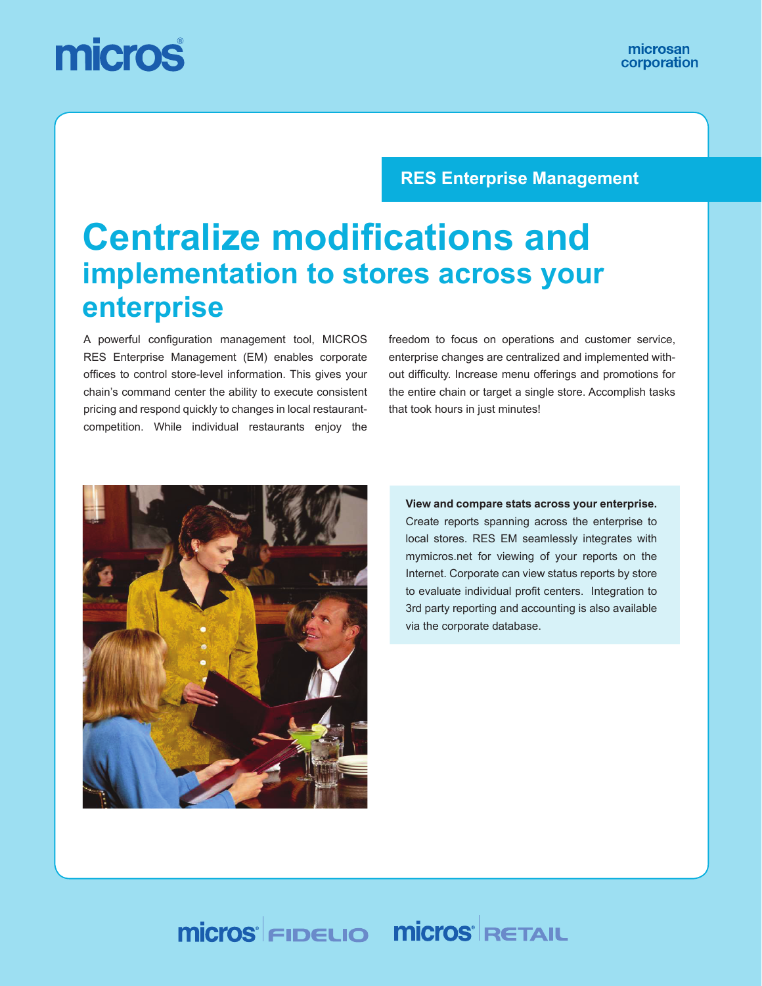# micros

#### **RES Enterprise Management**

## **Centralize modifications and implementation to stores across your enterprise**

A powerful configuration management tool, MICROS RES Enterprise Management (EM) enables corporate offices to control store-level information. This gives your chain's command center the ability to execute consistent pricing and respond quickly to changes in local restaurantcompetition. While individual restaurants enjoy the

freedom to focus on operations and customer service, enterprise changes are centralized and implemented without difficulty. Increase menu offerings and promotions for the entire chain or target a single store. Accomplish tasks that took hours in just minutes!



**View and compare stats across your enterprise.**  Create reports spanning across the enterprise to local stores. RES EM seamlessly integrates with mymicros.net for viewing of your reports on the Internet. Corporate can view status reports by store to evaluate individual profit centers. Integration to 3rd party reporting and accounting is also available via the corporate database.

# **Micros FIDELIO MICros RETAIL**